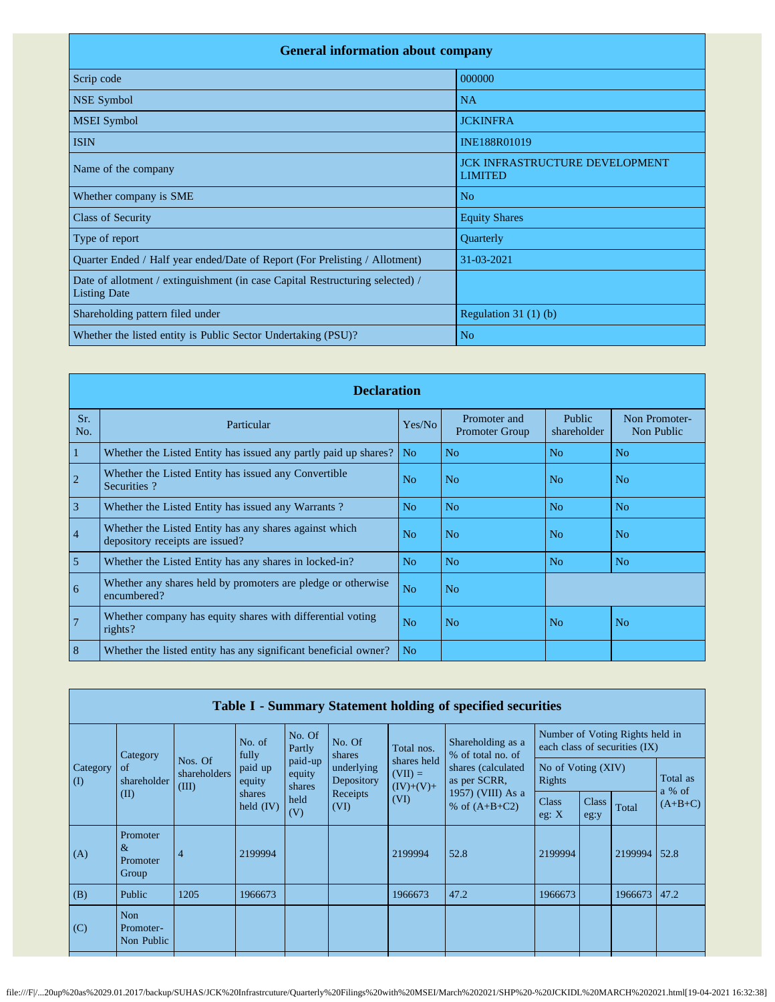| <b>General information about company</b>                                                             |                                                         |  |  |  |  |  |  |  |
|------------------------------------------------------------------------------------------------------|---------------------------------------------------------|--|--|--|--|--|--|--|
| Scrip code                                                                                           | 000000                                                  |  |  |  |  |  |  |  |
| <b>NSE Symbol</b>                                                                                    | <b>NA</b>                                               |  |  |  |  |  |  |  |
| <b>MSEI</b> Symbol                                                                                   | <b>JCKINFRA</b>                                         |  |  |  |  |  |  |  |
| <b>ISIN</b>                                                                                          | INE188R01019                                            |  |  |  |  |  |  |  |
| Name of the company                                                                                  | <b>JCK INFRASTRUCTURE DEVELOPMENT</b><br><b>LIMITED</b> |  |  |  |  |  |  |  |
| Whether company is SME                                                                               | N <sub>o</sub>                                          |  |  |  |  |  |  |  |
| <b>Class of Security</b>                                                                             | <b>Equity Shares</b>                                    |  |  |  |  |  |  |  |
| Type of report                                                                                       | Quarterly                                               |  |  |  |  |  |  |  |
| Quarter Ended / Half year ended/Date of Report (For Prelisting / Allotment)                          | 31-03-2021                                              |  |  |  |  |  |  |  |
| Date of allotment / extinguishment (in case Capital Restructuring selected) /<br><b>Listing Date</b> |                                                         |  |  |  |  |  |  |  |
| Shareholding pattern filed under                                                                     | Regulation $31(1)(b)$                                   |  |  |  |  |  |  |  |
| Whether the listed entity is Public Sector Undertaking (PSU)?                                        | N <sub>o</sub>                                          |  |  |  |  |  |  |  |

|                | <b>Declaration</b>                                                                        |                |                                       |                       |                             |  |  |  |  |
|----------------|-------------------------------------------------------------------------------------------|----------------|---------------------------------------|-----------------------|-----------------------------|--|--|--|--|
| Sr.<br>No.     | Particular                                                                                | Yes/No         | Promoter and<br><b>Promoter Group</b> | Public<br>shareholder | Non Promoter-<br>Non Public |  |  |  |  |
| 1              | Whether the Listed Entity has issued any partly paid up shares?                           | N <sub>o</sub> | N <sub>o</sub>                        | N <sub>o</sub>        | N <sub>o</sub>              |  |  |  |  |
| $\overline{c}$ | Whether the Listed Entity has issued any Convertible<br>Securities?                       | N <sub>o</sub> | N <sub>o</sub>                        | N <sub>o</sub>        | N <sub>o</sub>              |  |  |  |  |
| $\overline{3}$ | Whether the Listed Entity has issued any Warrants?                                        | N <sub>o</sub> | N <sub>o</sub>                        | N <sub>o</sub>        | N <sub>o</sub>              |  |  |  |  |
| $\overline{4}$ | Whether the Listed Entity has any shares against which<br>depository receipts are issued? | N <sub>o</sub> | N <sub>o</sub>                        | N <sub>o</sub>        | N <sub>o</sub>              |  |  |  |  |
| 5              | Whether the Listed Entity has any shares in locked-in?                                    | N <sub>o</sub> | N <sub>o</sub>                        | N <sub>o</sub>        | N <sub>o</sub>              |  |  |  |  |
| 6              | Whether any shares held by promoters are pledge or otherwise<br>encumbered?               | N <sub>o</sub> | N <sub>o</sub>                        |                       |                             |  |  |  |  |
| $\overline{7}$ | Whether company has equity shares with differential voting<br>rights?                     | N <sub>0</sub> | No.                                   | N <sub>o</sub>        | No                          |  |  |  |  |
| 8              | Whether the listed entity has any significant beneficial owner?                           | N <sub>o</sub> |                                       |                       |                             |  |  |  |  |

|                       | Table I - Summary Statement holding of specified securities |                                  |                                            |                                            |                                                                  |                                         |                                        |                                                                  |               |         |                    |
|-----------------------|-------------------------------------------------------------|----------------------------------|--------------------------------------------|--------------------------------------------|------------------------------------------------------------------|-----------------------------------------|----------------------------------------|------------------------------------------------------------------|---------------|---------|--------------------|
|                       | Category                                                    |                                  | No. of<br>fully                            | No. Of<br>Partly                           | No. Of<br>shares<br>underlying<br>Depository<br>Receipts<br>(VI) | Total nos.                              | Shareholding as a<br>% of total no. of | Number of Voting Rights held in<br>each class of securities (IX) |               |         |                    |
| Category<br>$\rm (I)$ | of<br>shareholder<br>(II)                                   | Nos. Of<br>shareholders<br>(III) | paid up<br>equity<br>shares<br>held $(IV)$ | paid-up<br>equity<br>shares<br>held<br>(V) |                                                                  | shares held<br>$(VII) =$<br>$(IV)+(V)+$ | shares (calculated)<br>as per SCRR,    | No of Voting (XIV)<br>Rights                                     |               |         | Total as<br>a % of |
|                       |                                                             |                                  |                                            |                                            |                                                                  | (VI)                                    | 1957) (VIII) As a<br>% of $(A+B+C2)$   | <b>Class</b><br>eg: $X$                                          | Class<br>eg:y | Total   | $(A+B+C)$          |
| (A)                   | Promoter<br>$\&$<br>Promoter<br>Group                       | $\overline{4}$                   | 2199994                                    |                                            |                                                                  | 2199994                                 | 52.8                                   | 2199994                                                          |               | 2199994 | 52.8               |
| (B)                   | Public                                                      | 1205                             | 1966673                                    |                                            |                                                                  | 1966673                                 | 47.2                                   | 1966673                                                          |               | 1966673 | 47.2               |
| (C)                   | Non<br>Promoter-<br>Non Public                              |                                  |                                            |                                            |                                                                  |                                         |                                        |                                                                  |               |         |                    |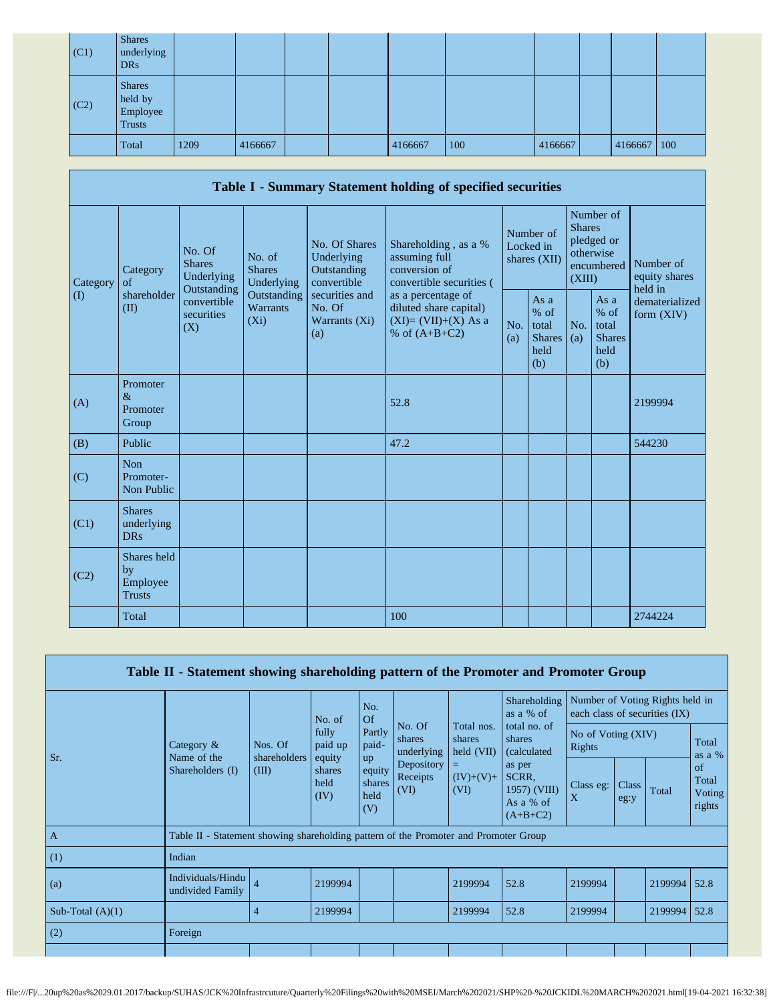| (C1) | <b>Shares</b><br>underlying<br><b>DRs</b>             |      |         |  |         |     |         |         |     |
|------|-------------------------------------------------------|------|---------|--|---------|-----|---------|---------|-----|
| (C2) | <b>Shares</b><br>held by<br>Employee<br><b>Trusts</b> |      |         |  |         |     |         |         |     |
|      | Total                                                 | 1209 | 4166667 |  | 4166667 | 100 | 4166667 | 4166667 | 100 |

|          |                                                |                                                                                                                                                                         |                                                  |                                                                    | Table I - Summary Statement holding of specified securities                                              |                                                         |                                        |                                                                               |                                |                                       |
|----------|------------------------------------------------|-------------------------------------------------------------------------------------------------------------------------------------------------------------------------|--------------------------------------------------|--------------------------------------------------------------------|----------------------------------------------------------------------------------------------------------|---------------------------------------------------------|----------------------------------------|-------------------------------------------------------------------------------|--------------------------------|---------------------------------------|
| Category | Category<br>of<br>shareholder                  | No. Of<br>No. of<br><b>Shares</b><br><b>Shares</b><br>Underlying<br>Underlying<br>Outstanding<br>Outstanding<br>convertible<br>Warrants<br>securities<br>$(X_i)$<br>(X) |                                                  | No. Of Shares<br>Underlying<br>Outstanding<br>convertible          | Shareholding, as a %<br>assuming full<br>conversion of<br>convertible securities (<br>as a percentage of |                                                         | Number of<br>Locked in<br>shares (XII) | Number of<br><b>Shares</b><br>pledged or<br>otherwise<br>encumbered<br>(XIII) |                                | Number of<br>equity shares<br>held in |
| $\rm(D)$ | (II)                                           |                                                                                                                                                                         | securities and<br>No. Of<br>Warrants (Xi)<br>(a) | diluted share capital)<br>$(XI)=(VII)+(X)$ As a<br>% of $(A+B+C2)$ | No.<br>(a)                                                                                               | As a<br>$%$ of<br>total<br><b>Shares</b><br>held<br>(b) | No.<br>(a)                             | As a<br>$%$ of<br>total<br><b>Shares</b><br>held<br>(b)                       | dematerialized<br>form $(XIV)$ |                                       |
| (A)      | Promoter<br>$\&$<br>Promoter<br>Group          |                                                                                                                                                                         |                                                  |                                                                    | 52.8                                                                                                     |                                                         |                                        |                                                                               |                                | 2199994                               |
| (B)      | Public                                         |                                                                                                                                                                         |                                                  |                                                                    | 47.2                                                                                                     |                                                         |                                        |                                                                               |                                | 544230                                |
| (C)      | <b>Non</b><br>Promoter-<br>Non Public          |                                                                                                                                                                         |                                                  |                                                                    |                                                                                                          |                                                         |                                        |                                                                               |                                |                                       |
| (C1)     | <b>Shares</b><br>underlying<br><b>DRs</b>      |                                                                                                                                                                         |                                                  |                                                                    |                                                                                                          |                                                         |                                        |                                                                               |                                |                                       |
| (C2)     | Shares held<br>by<br>Employee<br><b>Trusts</b> |                                                                                                                                                                         |                                                  |                                                                    |                                                                                                          |                                                         |                                        |                                                                               |                                |                                       |
|          | Total                                          |                                                                                                                                                                         |                                                  |                                                                    | 100                                                                                                      |                                                         |                                        |                                                                               |                                | 2744224                               |

| Table II - Statement showing shareholding pattern of the Promoter and Promoter Group |                                                                                                                         |                                           |                   |                                |                                          |                                                            |                                               |                              |       |                                                                  |      |
|--------------------------------------------------------------------------------------|-------------------------------------------------------------------------------------------------------------------------|-------------------------------------------|-------------------|--------------------------------|------------------------------------------|------------------------------------------------------------|-----------------------------------------------|------------------------------|-------|------------------------------------------------------------------|------|
|                                                                                      | fully<br>Category $\&$<br>Nos. Of<br>Name of the<br>shareholders<br>equity<br>Shareholders (I)<br>(III)<br>held<br>(IV) |                                           | No. of<br>paid up | No.<br>Of                      |                                          |                                                            | Shareholding<br>as a % of                     |                              |       | Number of Voting Rights held in<br>each class of securities (IX) |      |
| Sr.                                                                                  |                                                                                                                         |                                           |                   | Partly<br>paid-<br><b>up</b>   | No. Of<br>shares<br>shares<br>underlying | Total nos.<br>$\text{held (VII)}$                          | total no. of<br>shares<br><i>(calculated)</i> | No of Voting (XIV)<br>Rights |       |                                                                  |      |
|                                                                                      |                                                                                                                         | shares<br>equity<br>shares<br>held<br>(V) |                   | Depository<br>Receipts<br>(VI) | =<br>$(IV)+(V)+$<br>(VI)                 | as per<br>SCRR.<br>1957) (VIII)<br>As a % of<br>$(A+B+C2)$ | Class eg:<br>X                                | Class<br>eg:y                | Total | of<br>Total<br>Voting<br>rights                                  |      |
| $\overline{A}$                                                                       | Table II - Statement showing shareholding pattern of the Promoter and Promoter Group                                    |                                           |                   |                                |                                          |                                                            |                                               |                              |       |                                                                  |      |
| (1)                                                                                  | Indian                                                                                                                  |                                           |                   |                                |                                          |                                                            |                                               |                              |       |                                                                  |      |
| (a)                                                                                  | Individuals/Hindu<br>undivided Family                                                                                   | $\overline{4}$                            | 2199994           |                                |                                          | 2199994                                                    | 52.8                                          | 2199994                      |       | 2199994                                                          | 52.8 |
| Sub-Total $(A)(1)$                                                                   |                                                                                                                         | $\overline{4}$                            | 2199994           |                                |                                          | 2199994                                                    | 52.8                                          | 2199994                      |       | 2199994                                                          | 52.8 |
| (2)                                                                                  | Foreign                                                                                                                 |                                           |                   |                                |                                          |                                                            |                                               |                              |       |                                                                  |      |
|                                                                                      |                                                                                                                         |                                           |                   |                                |                                          |                                                            |                                               |                              |       |                                                                  |      |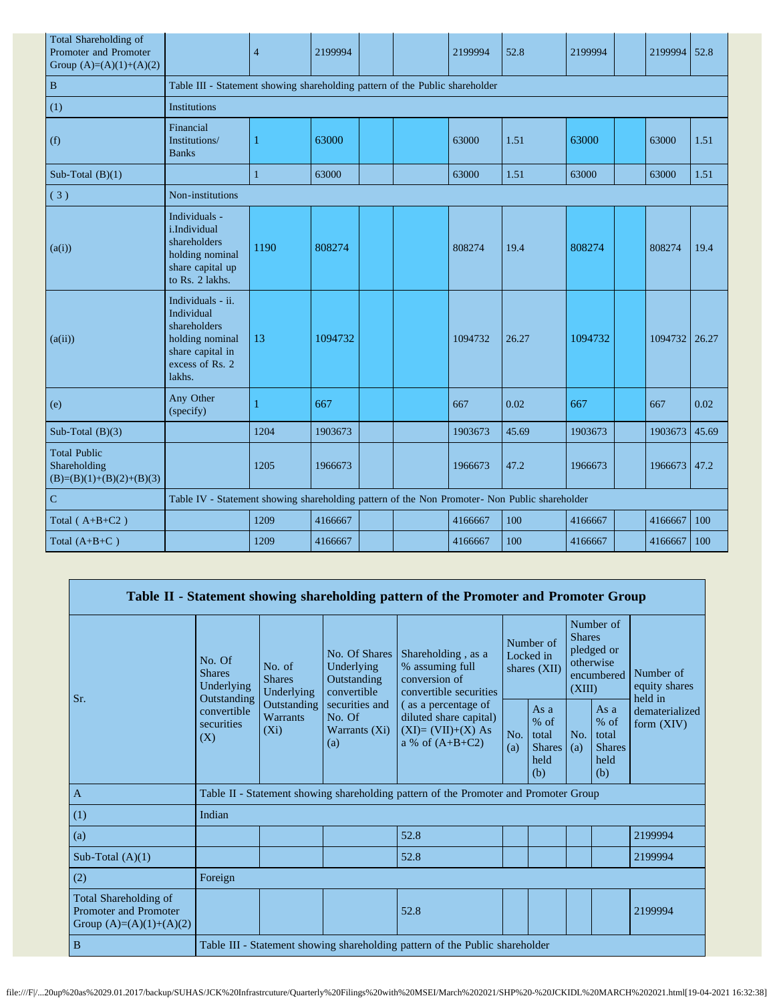| Total Shareholding of<br>Promoter and Promoter<br>Group $(A)=(A)(1)+(A)(2)$ |                                                                                                                     | $\overline{4}$                                                               | 2199994 |  |  | 2199994 | 52.8  | 2199994 |  | 2199994 | 52.8  |
|-----------------------------------------------------------------------------|---------------------------------------------------------------------------------------------------------------------|------------------------------------------------------------------------------|---------|--|--|---------|-------|---------|--|---------|-------|
| $\mathbf{B}$                                                                |                                                                                                                     | Table III - Statement showing shareholding pattern of the Public shareholder |         |  |  |         |       |         |  |         |       |
| (1)                                                                         | <b>Institutions</b>                                                                                                 |                                                                              |         |  |  |         |       |         |  |         |       |
| (f)                                                                         | Financial<br>Institutions/<br><b>Banks</b>                                                                          | 1                                                                            | 63000   |  |  | 63000   | 1.51  | 63000   |  | 63000   | 1.51  |
| Sub-Total $(B)(1)$                                                          |                                                                                                                     | 1                                                                            | 63000   |  |  | 63000   | 1.51  | 63000   |  | 63000   | 1.51  |
| (3)                                                                         | Non-institutions                                                                                                    |                                                                              |         |  |  |         |       |         |  |         |       |
| (a(i))                                                                      | Individuals -<br>i.Individual<br>shareholders<br>holding nominal<br>share capital up<br>to Rs. 2 lakhs.             | 1190                                                                         | 808274  |  |  | 808274  | 19.4  | 808274  |  | 808274  | 19.4  |
| (a(ii))                                                                     | Individuals - ii.<br>Individual<br>shareholders<br>holding nominal<br>share capital in<br>excess of Rs. 2<br>lakhs. | 13                                                                           | 1094732 |  |  | 1094732 | 26.27 | 1094732 |  | 1094732 | 26.27 |
| (e)                                                                         | Any Other<br>(specify)                                                                                              | 1                                                                            | 667     |  |  | 667     | 0.02  | 667     |  | 667     | 0.02  |
| Sub-Total $(B)(3)$                                                          |                                                                                                                     | 1204                                                                         | 1903673 |  |  | 1903673 | 45.69 | 1903673 |  | 1903673 | 45.69 |
| <b>Total Public</b><br>Shareholding<br>$(B)=(B)(1)+(B)(2)+(B)(3)$           |                                                                                                                     | 1205                                                                         | 1966673 |  |  | 1966673 | 47.2  | 1966673 |  | 1966673 | 47.2  |
| $\mathbf C$                                                                 | Table IV - Statement showing shareholding pattern of the Non Promoter- Non Public shareholder                       |                                                                              |         |  |  |         |       |         |  |         |       |
| Total $(A+B+C2)$                                                            |                                                                                                                     | 1209                                                                         | 4166667 |  |  | 4166667 | 100   | 4166667 |  | 4166667 | 100   |
| Total $(A+B+C)$                                                             |                                                                                                                     | 1209                                                                         | 4166667 |  |  | 4166667 | 100   | 4166667 |  | 4166667 | 100   |

|                                                                                    |                                                      |                                                                              |                                                           | Table II - Statement showing shareholding pattern of the Promoter and Promoter Group      |                                        |                                                           |                                                                               |                                                           |                                       |  |
|------------------------------------------------------------------------------------|------------------------------------------------------|------------------------------------------------------------------------------|-----------------------------------------------------------|-------------------------------------------------------------------------------------------|----------------------------------------|-----------------------------------------------------------|-------------------------------------------------------------------------------|-----------------------------------------------------------|---------------------------------------|--|
| Sr.                                                                                | No. Of<br><b>Shares</b><br>Underlying<br>Outstanding | No. of<br><b>Shares</b><br>Underlying                                        | No. Of Shares<br>Underlying<br>Outstanding<br>convertible | Shareholding, as a<br>% assuming full<br>conversion of<br>convertible securities          | Number of<br>Locked in<br>shares (XII) |                                                           | Number of<br><b>Shares</b><br>pledged or<br>otherwise<br>encumbered<br>(XIII) |                                                           | Number of<br>equity shares<br>held in |  |
|                                                                                    | convertible<br>securities<br>(X)                     | Outstanding<br><b>Warrants</b><br>$(X_i)$                                    | securities and<br>No. Of<br>Warrants (Xi)<br>(a)          | (as a percentage of<br>diluted share capital)<br>$(XI)=(VII)+(X) As$<br>a % of $(A+B+C2)$ | No.<br>(a)                             | As $a$<br>$%$ of<br>total<br><b>Shares</b><br>held<br>(b) | No.<br>(a)                                                                    | As $a$<br>$%$ of<br>total<br><b>Shares</b><br>held<br>(b) | dematerialized<br>form $(XIV)$        |  |
| $\mathbf{A}$                                                                       |                                                      |                                                                              |                                                           | Table II - Statement showing shareholding pattern of the Promoter and Promoter Group      |                                        |                                                           |                                                                               |                                                           |                                       |  |
| (1)                                                                                | Indian                                               |                                                                              |                                                           |                                                                                           |                                        |                                                           |                                                                               |                                                           |                                       |  |
| (a)                                                                                |                                                      |                                                                              |                                                           | 52.8                                                                                      |                                        |                                                           |                                                                               |                                                           | 2199994                               |  |
| Sub-Total $(A)(1)$                                                                 |                                                      |                                                                              |                                                           | 52.8                                                                                      |                                        |                                                           |                                                                               |                                                           | 2199994                               |  |
| (2)                                                                                | Foreign                                              |                                                                              |                                                           |                                                                                           |                                        |                                                           |                                                                               |                                                           |                                       |  |
| Total Shareholding of<br><b>Promoter and Promoter</b><br>Group $(A)=(A)(1)+(A)(2)$ |                                                      |                                                                              |                                                           | 52.8                                                                                      |                                        |                                                           |                                                                               |                                                           | 2199994                               |  |
| $\mathbf B$                                                                        |                                                      | Table III - Statement showing shareholding pattern of the Public shareholder |                                                           |                                                                                           |                                        |                                                           |                                                                               |                                                           |                                       |  |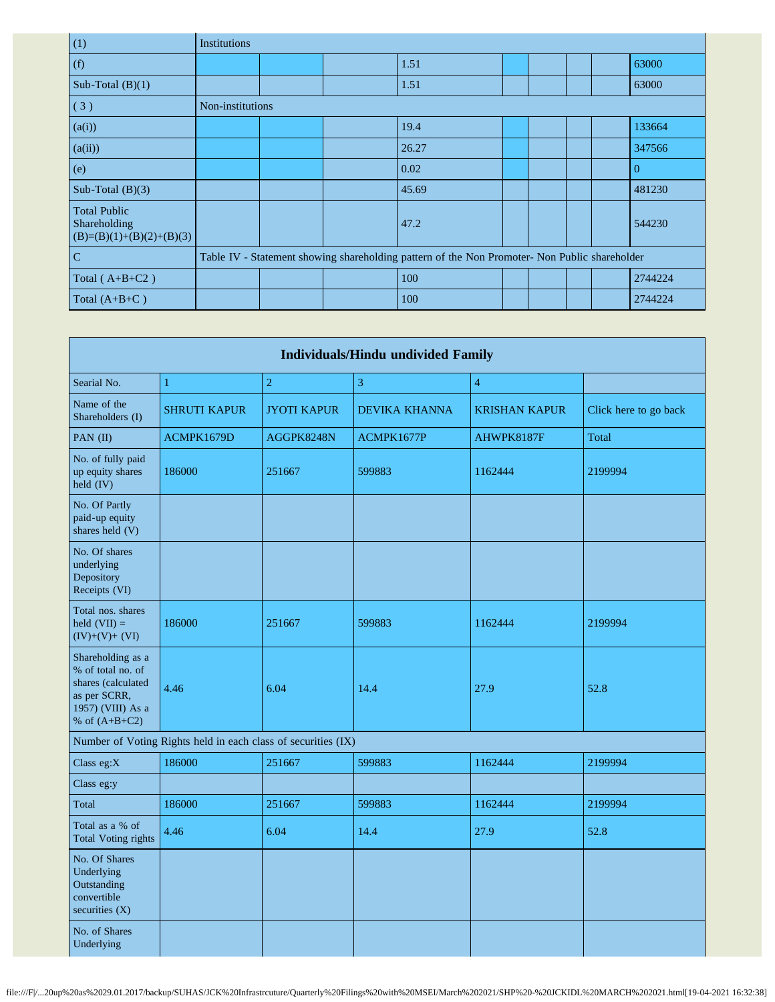| (1)                                                               | <b>Institutions</b> |  |                                                                                               |  |  |          |
|-------------------------------------------------------------------|---------------------|--|-----------------------------------------------------------------------------------------------|--|--|----------|
| (f)                                                               |                     |  | 1.51                                                                                          |  |  | 63000    |
| Sub-Total $(B)(1)$                                                |                     |  | 1.51                                                                                          |  |  | 63000    |
| (3)                                                               | Non-institutions    |  |                                                                                               |  |  |          |
| (a(i))                                                            |                     |  | 19.4                                                                                          |  |  | 133664   |
| (a(ii))                                                           |                     |  | 26.27                                                                                         |  |  | 347566   |
| (e)                                                               |                     |  | 0.02                                                                                          |  |  | $\Omega$ |
| Sub-Total $(B)(3)$                                                |                     |  | 45.69                                                                                         |  |  | 481230   |
| <b>Total Public</b><br>Shareholding<br>$(B)=(B)(1)+(B)(2)+(B)(3)$ |                     |  | 47.2                                                                                          |  |  | 544230   |
| $\mathbf C$                                                       |                     |  | Table IV - Statement showing shareholding pattern of the Non Promoter- Non Public shareholder |  |  |          |
| Total $(A+B+C2)$                                                  |                     |  | 100                                                                                           |  |  | 2744224  |
| Total $(A+B+C)$                                                   |                     |  | 100                                                                                           |  |  | 2744224  |

| <b>Individuals/Hindu undivided Family</b>                                                                            |                                                               |                    |               |                      |                       |  |  |  |
|----------------------------------------------------------------------------------------------------------------------|---------------------------------------------------------------|--------------------|---------------|----------------------|-----------------------|--|--|--|
| Searial No.                                                                                                          | $\mathbf{1}$                                                  | $\overline{2}$     | 3             | $\overline{4}$       |                       |  |  |  |
| Name of the<br>Shareholders (I)                                                                                      | <b>SHRUTI KAPUR</b>                                           | <b>JYOTI KAPUR</b> | DEVIKA KHANNA | <b>KRISHAN KAPUR</b> | Click here to go back |  |  |  |
| PAN (II)                                                                                                             | ACMPK1679D                                                    | AGGPK8248N         | ACMPK1677P    | AHWPK8187F           | Total                 |  |  |  |
| No. of fully paid<br>up equity shares<br>held (IV)                                                                   | 186000                                                        | 251667             | 599883        | 1162444              | 2199994               |  |  |  |
| No. Of Partly<br>paid-up equity<br>shares held (V)                                                                   |                                                               |                    |               |                      |                       |  |  |  |
| No. Of shares<br>underlying<br>Depository<br>Receipts (VI)                                                           |                                                               |                    |               |                      |                       |  |  |  |
| Total nos. shares<br>held $(VII) =$<br>$(IV)+(V)+(VI)$                                                               | 186000                                                        | 251667             | 599883        | 1162444              | 2199994               |  |  |  |
| Shareholding as a<br>% of total no. of<br>shares (calculated<br>as per SCRR,<br>1957) (VIII) As a<br>% of $(A+B+C2)$ | 4.46                                                          | 6.04               | 14.4          | 27.9                 | 52.8                  |  |  |  |
|                                                                                                                      | Number of Voting Rights held in each class of securities (IX) |                    |               |                      |                       |  |  |  |
| Class eg:X                                                                                                           | 186000                                                        | 251667             | 599883        | 1162444              | 2199994               |  |  |  |
| Class eg:y                                                                                                           |                                                               |                    |               |                      |                       |  |  |  |
| Total                                                                                                                | 186000                                                        | 251667             | 599883        | 1162444              | 2199994               |  |  |  |
| Total as a % of<br><b>Total Voting rights</b>                                                                        | 4.46                                                          | 6.04               | 14.4          | 27.9                 | 52.8                  |  |  |  |
| No. Of Shares<br>Underlying<br>Outstanding<br>convertible<br>securities $(X)$                                        |                                                               |                    |               |                      |                       |  |  |  |
| No. of Shares<br>Underlying                                                                                          |                                                               |                    |               |                      |                       |  |  |  |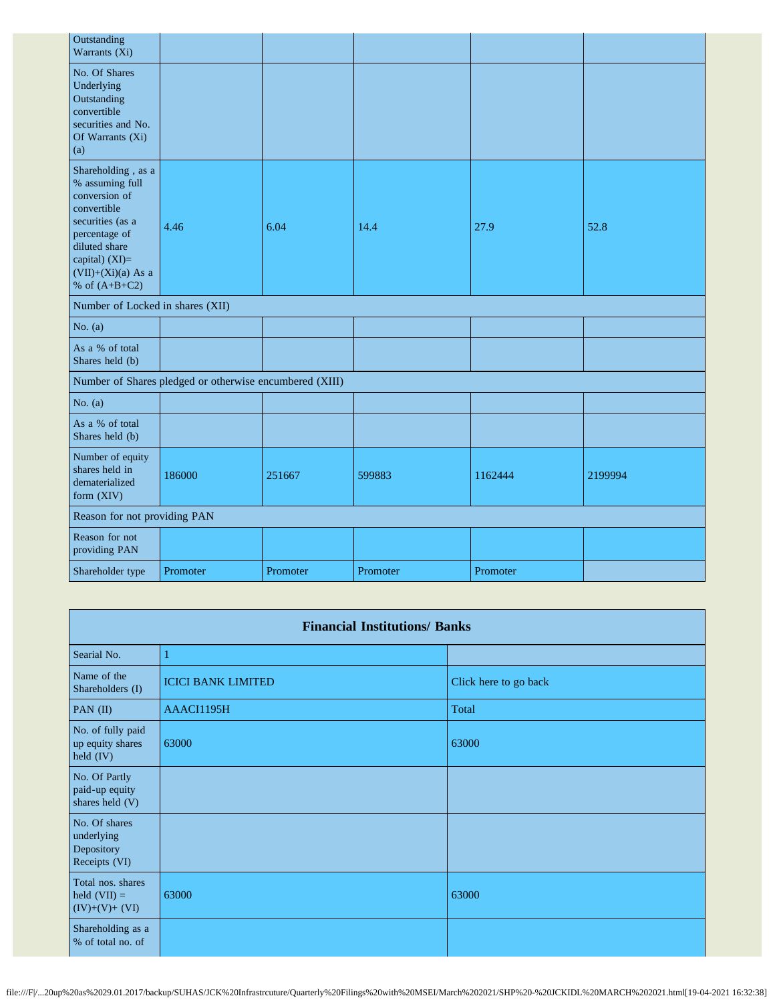| Outstanding<br>Warrants (Xi)                                                                                                                                                             |                                                         |          |          |          |         |
|------------------------------------------------------------------------------------------------------------------------------------------------------------------------------------------|---------------------------------------------------------|----------|----------|----------|---------|
| No. Of Shares<br>Underlying<br>Outstanding<br>convertible<br>securities and No.<br>Of Warrants (Xi)<br>(a)                                                                               |                                                         |          |          |          |         |
| Shareholding, as a<br>% assuming full<br>conversion of<br>convertible<br>securities (as a<br>percentage of<br>diluted share<br>capital) (XI)=<br>$(VII)+(Xi)(a)$ As a<br>% of $(A+B+C2)$ | 4.46                                                    | 6.04     | 14.4     | 27.9     | 52.8    |
| Number of Locked in shares (XII)                                                                                                                                                         |                                                         |          |          |          |         |
| No. $(a)$                                                                                                                                                                                |                                                         |          |          |          |         |
| As a % of total<br>Shares held (b)                                                                                                                                                       |                                                         |          |          |          |         |
|                                                                                                                                                                                          | Number of Shares pledged or otherwise encumbered (XIII) |          |          |          |         |
| No. $(a)$                                                                                                                                                                                |                                                         |          |          |          |         |
| As a % of total<br>Shares held (b)                                                                                                                                                       |                                                         |          |          |          |         |
| Number of equity<br>shares held in<br>dematerialized<br>form (XIV)                                                                                                                       | 186000                                                  | 251667   | 599883   | 1162444  | 2199994 |
| Reason for not providing PAN                                                                                                                                                             |                                                         |          |          |          |         |
| Reason for not<br>providing PAN                                                                                                                                                          |                                                         |          |          |          |         |
| Shareholder type                                                                                                                                                                         | Promoter                                                | Promoter | Promoter | Promoter |         |

|                                                            | <b>Financial Institutions/ Banks</b> |                       |  |  |  |  |  |  |  |
|------------------------------------------------------------|--------------------------------------|-----------------------|--|--|--|--|--|--|--|
| Searial No.                                                | 1                                    |                       |  |  |  |  |  |  |  |
| Name of the<br>Shareholders (I)                            | <b>ICICI BANK LIMITED</b>            | Click here to go back |  |  |  |  |  |  |  |
| PAN (II)                                                   | AAACI1195H                           | Total                 |  |  |  |  |  |  |  |
| No. of fully paid<br>up equity shares<br>held (IV)         | 63000                                | 63000                 |  |  |  |  |  |  |  |
| No. Of Partly<br>paid-up equity<br>shares held (V)         |                                      |                       |  |  |  |  |  |  |  |
| No. Of shares<br>underlying<br>Depository<br>Receipts (VI) |                                      |                       |  |  |  |  |  |  |  |
| Total nos. shares<br>held $(VII) =$<br>$(IV)+(V)+(VI)$     | 63000                                | 63000                 |  |  |  |  |  |  |  |
| Shareholding as a<br>% of total no. of                     |                                      |                       |  |  |  |  |  |  |  |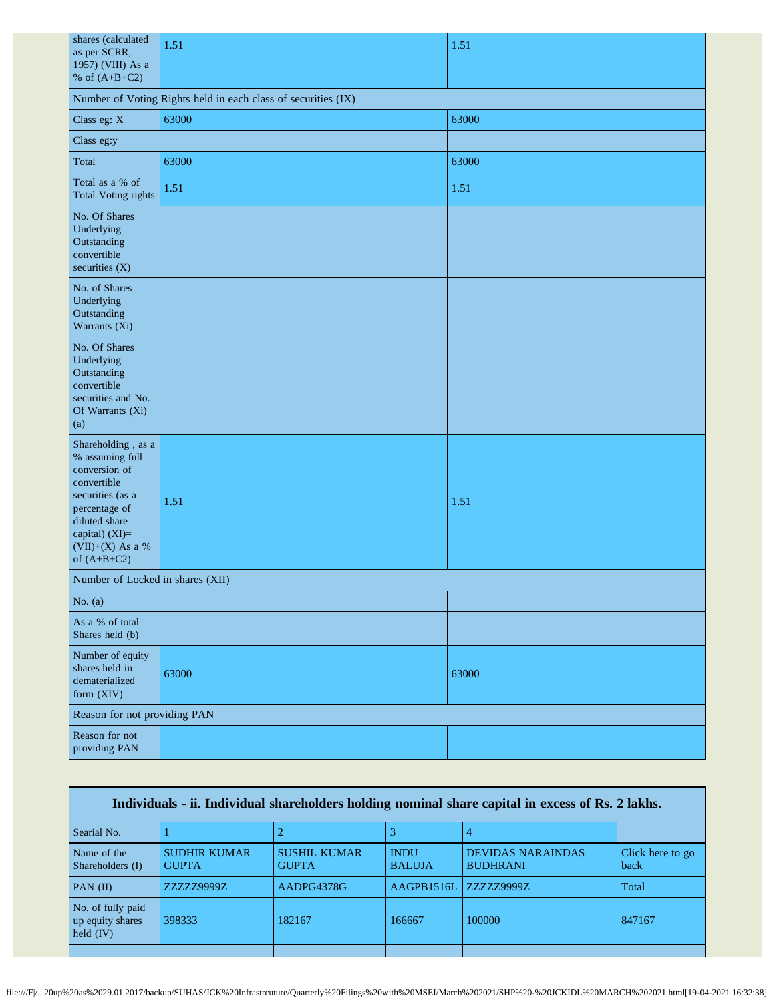| shares (calculated<br>as per SCRR,<br>1957) (VIII) As a<br>% of $(A+B+C2)$                                                                                                         | 1.51                                                          | 1.51  |  |  |
|------------------------------------------------------------------------------------------------------------------------------------------------------------------------------------|---------------------------------------------------------------|-------|--|--|
|                                                                                                                                                                                    | Number of Voting Rights held in each class of securities (IX) |       |  |  |
| Class eg: X                                                                                                                                                                        | 63000                                                         | 63000 |  |  |
| Class eg:y                                                                                                                                                                         |                                                               |       |  |  |
| Total                                                                                                                                                                              | 63000                                                         | 63000 |  |  |
| Total as a % of<br><b>Total Voting rights</b>                                                                                                                                      | 1.51                                                          | 1.51  |  |  |
| No. Of Shares<br>Underlying<br>Outstanding<br>convertible<br>securities (X)                                                                                                        |                                                               |       |  |  |
| No. of Shares<br>Underlying<br>Outstanding<br>Warrants (Xi)                                                                                                                        |                                                               |       |  |  |
| No. Of Shares<br>Underlying<br>Outstanding<br>convertible<br>securities and No.<br>Of Warrants (Xi)<br>(a)                                                                         |                                                               |       |  |  |
| Shareholding, as a<br>% assuming full<br>conversion of<br>convertible<br>securities (as a<br>percentage of<br>diluted share<br>capital) (XI)=<br>(VII)+(X) As a %<br>of $(A+B+C2)$ | 1.51                                                          | 1.51  |  |  |
| Number of Locked in shares (XII)                                                                                                                                                   |                                                               |       |  |  |
| No. $(a)$                                                                                                                                                                          |                                                               |       |  |  |
| As a % of total<br>Shares held (b)                                                                                                                                                 |                                                               |       |  |  |
| Number of equity<br>shares held in<br>dematerialized<br>form (XIV)                                                                                                                 | 63000                                                         | 63000 |  |  |
| Reason for not providing PAN                                                                                                                                                       |                                                               |       |  |  |
| Reason for not<br>providing PAN                                                                                                                                                    |                                                               |       |  |  |

| Individuals - ii. Individual shareholders holding nominal share capital in excess of Rs. 2 lakhs. |                                     |                                     |                              |                                             |                          |
|---------------------------------------------------------------------------------------------------|-------------------------------------|-------------------------------------|------------------------------|---------------------------------------------|--------------------------|
| Searial No.                                                                                       |                                     |                                     |                              |                                             |                          |
| Name of the<br>Shareholders (I)                                                                   | <b>SUDHIR KUMAR</b><br><b>GUPTA</b> | <b>SUSHIL KUMAR</b><br><b>GUPTA</b> | <b>INDU</b><br><b>BALUJA</b> | <b>DEVIDAS NARAINDAS</b><br><b>BUDHRANI</b> | Click here to go<br>back |
| PAN $(II)$                                                                                        | ZZZZZ9999Z                          | AADPG4378G                          | AAGPB1516L                   | ZZZZZ9999Z                                  | Total                    |
| No. of fully paid<br>up equity shares<br>held $(IV)$                                              | 398333                              | 182167                              | 166667                       | 100000                                      | 847167                   |
|                                                                                                   |                                     |                                     |                              |                                             |                          |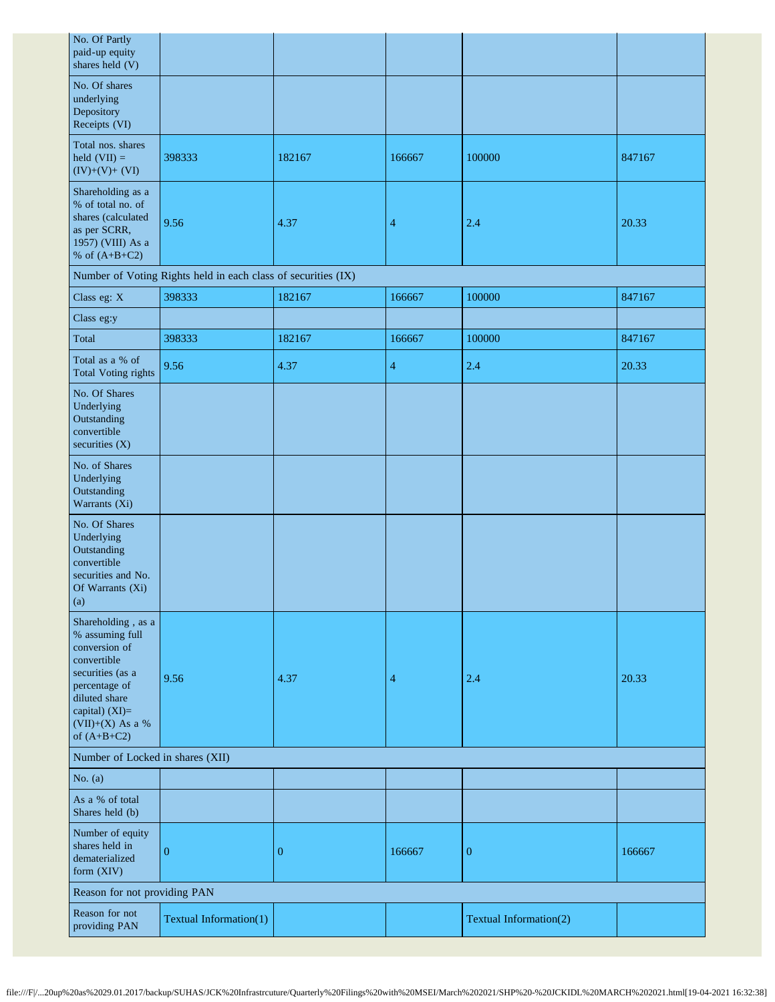| No. Of Partly<br>paid-up equity<br>shares held (V)                                                                                                                                   |                                                               |                  |        |                        |        |
|--------------------------------------------------------------------------------------------------------------------------------------------------------------------------------------|---------------------------------------------------------------|------------------|--------|------------------------|--------|
| No. Of shares<br>underlying<br>Depository<br>Receipts (VI)                                                                                                                           |                                                               |                  |        |                        |        |
| Total nos. shares<br>held $(VII) =$<br>$(IV)+(V)+(VI)$                                                                                                                               | 398333                                                        | 182167           | 166667 | 100000                 | 847167 |
| Shareholding as a<br>% of total no. of<br>shares (calculated<br>as per SCRR,<br>1957) (VIII) As a<br>% of $(A+B+C2)$                                                                 | 9.56                                                          | 4.37             | 4      | 2.4                    | 20.33  |
|                                                                                                                                                                                      | Number of Voting Rights held in each class of securities (IX) |                  |        |                        |        |
| Class eg: X                                                                                                                                                                          | 398333                                                        | 182167           | 166667 | 100000                 | 847167 |
| Class eg:y                                                                                                                                                                           |                                                               |                  |        |                        |        |
| Total                                                                                                                                                                                | 398333                                                        | 182167           | 166667 | 100000                 | 847167 |
| Total as a % of<br><b>Total Voting rights</b>                                                                                                                                        | 9.56                                                          | 4.37             | 4      | 2.4                    | 20.33  |
| No. Of Shares<br>Underlying<br>Outstanding<br>convertible<br>securities (X)                                                                                                          |                                                               |                  |        |                        |        |
| No. of Shares<br>Underlying<br>Outstanding<br>Warrants (Xi)                                                                                                                          |                                                               |                  |        |                        |        |
| No. Of Shares<br>Underlying<br>Outstanding<br>convertible<br>securities and No.<br>Of Warrants (Xi)<br>(a)                                                                           |                                                               |                  |        |                        |        |
| Shareholding, as a<br>% assuming full<br>conversion of<br>convertible<br>securities (as a<br>percentage of<br>diluted share<br>capital) (XI)=<br>$(VII)+(X)$ As a %<br>of $(A+B+C2)$ | 9.56                                                          | 4.37             | 4      | 2.4                    | 20.33  |
| Number of Locked in shares (XII)                                                                                                                                                     |                                                               |                  |        |                        |        |
| No. $(a)$                                                                                                                                                                            |                                                               |                  |        |                        |        |
| As a % of total<br>Shares held (b)                                                                                                                                                   |                                                               |                  |        |                        |        |
| Number of equity<br>shares held in<br>dematerialized<br>form (XIV)                                                                                                                   | $\overline{0}$                                                | $\boldsymbol{0}$ | 166667 | $\boldsymbol{0}$       | 166667 |
| Reason for not providing PAN                                                                                                                                                         |                                                               |                  |        |                        |        |
| Reason for not<br>providing PAN                                                                                                                                                      | Textual Information(1)                                        |                  |        | Textual Information(2) |        |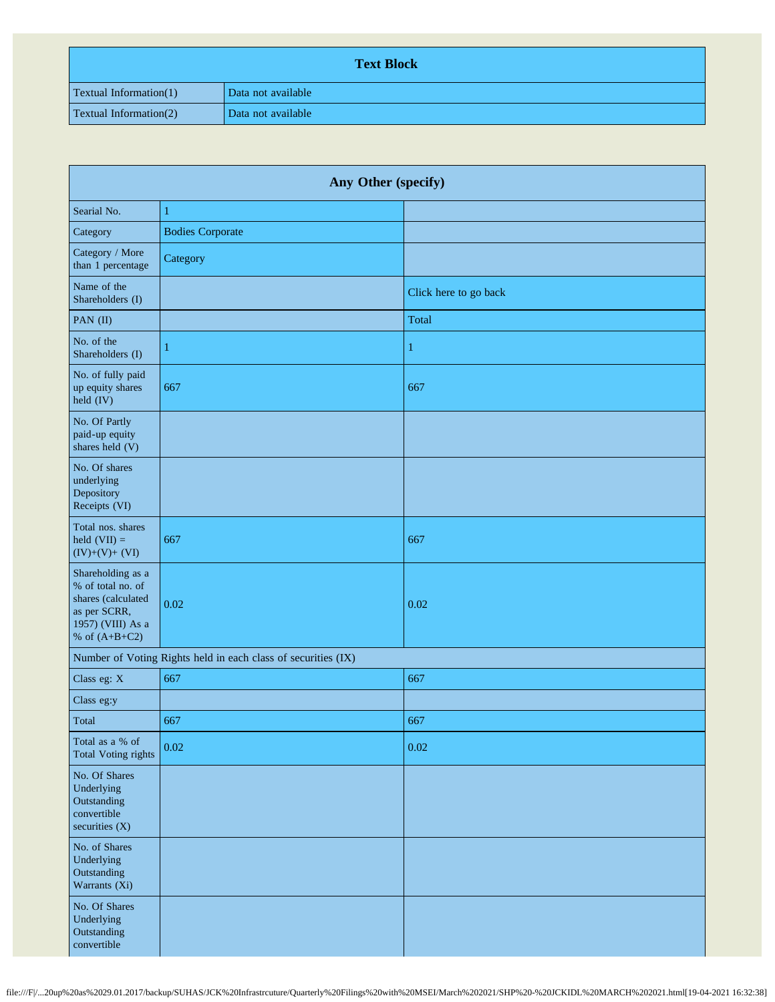| <b>Text Block</b>             |                    |  |  |
|-------------------------------|--------------------|--|--|
| <b>Textual Information(1)</b> | Data not available |  |  |
| <b>Textual Information(2)</b> | Data not available |  |  |

| Any Other (specify)                                                                                                  |                         |                       |  |  |
|----------------------------------------------------------------------------------------------------------------------|-------------------------|-----------------------|--|--|
| Searial No.                                                                                                          | $\mathbf{1}$            |                       |  |  |
| Category                                                                                                             | <b>Bodies Corporate</b> |                       |  |  |
| Category / More<br>than 1 percentage                                                                                 | Category                |                       |  |  |
| Name of the<br>Shareholders (I)                                                                                      |                         | Click here to go back |  |  |
| PAN (II)                                                                                                             |                         | Total                 |  |  |
| No. of the<br>Shareholders (I)                                                                                       | 1                       | 1                     |  |  |
| No. of fully paid<br>up equity shares<br>held (IV)                                                                   | 667                     | 667                   |  |  |
| No. Of Partly<br>paid-up equity<br>shares held (V)                                                                   |                         |                       |  |  |
| No. Of shares<br>underlying<br>Depository<br>Receipts (VI)                                                           |                         |                       |  |  |
| Total nos. shares<br>held $(VII) =$<br>$(IV)+(V)+(VI)$                                                               | 667                     | 667                   |  |  |
| Shareholding as a<br>% of total no. of<br>shares (calculated<br>as per SCRR,<br>1957) (VIII) As a<br>% of $(A+B+C2)$ | 0.02                    | 0.02                  |  |  |
| Number of Voting Rights held in each class of securities (IX)                                                        |                         |                       |  |  |
| Class eg: X                                                                                                          | 667                     | 667                   |  |  |
| Class eg:y                                                                                                           |                         |                       |  |  |
| Total                                                                                                                | 667                     | 667                   |  |  |
| Total as a % of<br><b>Total Voting rights</b>                                                                        | 0.02                    | 0.02                  |  |  |
| No. Of Shares<br>Underlying<br>Outstanding<br>convertible<br>securities $(X)$                                        |                         |                       |  |  |
| No. of Shares<br>Underlying<br>Outstanding<br>Warrants (Xi)                                                          |                         |                       |  |  |
| No. Of Shares<br>Underlying<br>Outstanding<br>convertible                                                            |                         |                       |  |  |